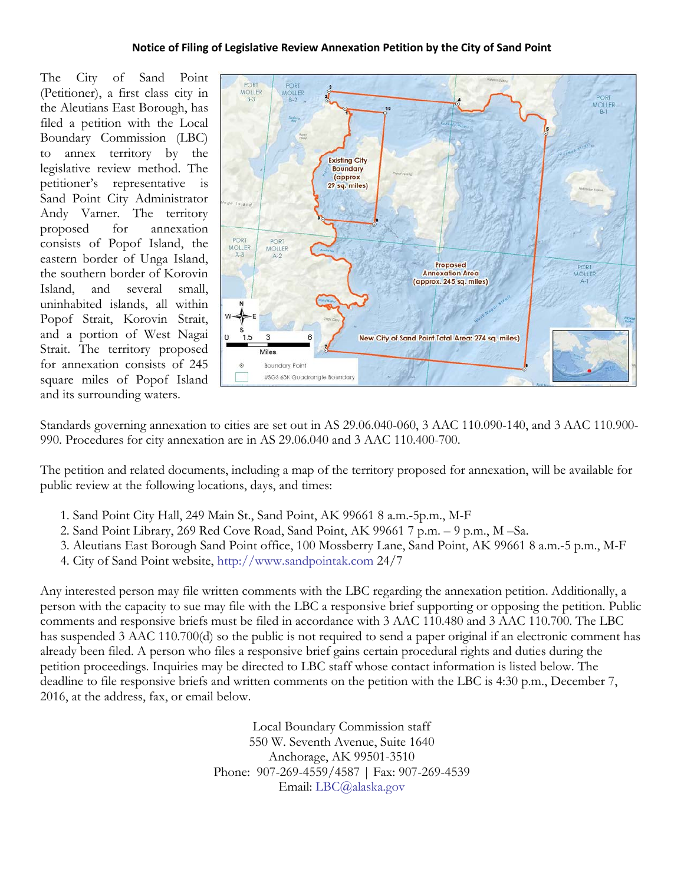## **Notice of Filing of Legislative Review Annexation Petition by the City of Sand Point**

The City of Sand Point (Petitioner), a first class city in the Aleutians East Borough, has filed a petition with the Local Boundary Commission (LBC) to annex territory by the legislative review method. The petitioner's representative is Sand Point City Administrator Andy Varner. The territory proposed for annexation consists of Popof Island, the eastern border of Unga Island, the southern border of Korovin Island, and several small, uninhabited islands, all within Popof Strait, Korovin Strait, and a portion of West Nagai Strait. The territory proposed for annexation consists of 245 square miles of Popof Island and its surrounding waters.



Standards governing annexation to cities are set out in AS 29.06.040-060, 3 AAC 110.090-140, and 3 AAC 110.900- 990. Procedures for city annexation are in AS 29.06.040 and 3 AAC 110.400-700.

The petition and related documents, including a map of the territory proposed for annexation, will be available for public review at the following locations, days, and times:

- 1. Sand Point City Hall, 249 Main St., Sand Point, AK 99661 8 a.m.-5p.m., M-F
- 2. Sand Point Library, 269 Red Cove Road, Sand Point, AK 99661 7 p.m. 9 p.m., M –Sa.
- 3. Aleutians East Borough Sand Point office, 100 Mossberry Lane, Sand Point, AK 99661 8 a.m.-5 p.m., M-F
- 4. City of Sand Point website, [http://www.sandpointak.com](http://www.sandpointak.com/) 24/7

Any interested person may file written comments with the LBC regarding the annexation petition. Additionally, a person with the capacity to sue may file with the LBC a responsive brief supporting or opposing the petition. Public comments and responsive briefs must be filed in accordance with 3 AAC 110.480 and 3 AAC 110.700. The LBC has suspended 3 AAC 110.700(d) so the public is not required to send a paper original if an electronic comment has already been filed. A person who files a responsive brief gains certain procedural rights and duties during the petition proceedings. Inquiries may be directed to LBC staff whose contact information is listed below. The deadline to file responsive briefs and written comments on the petition with the LBC is 4:30 p.m., December 7, 2016, at the address, fax, or email below.

> Local Boundary Commission staff 550 W. Seventh Avenue, Suite 1640 Anchorage, AK 99501-3510 Phone: 907-269-4559/4587 | Fax: 907-269-4539 Email: [LBC@alaska.gov](mailto:LBC@alaska.gov)